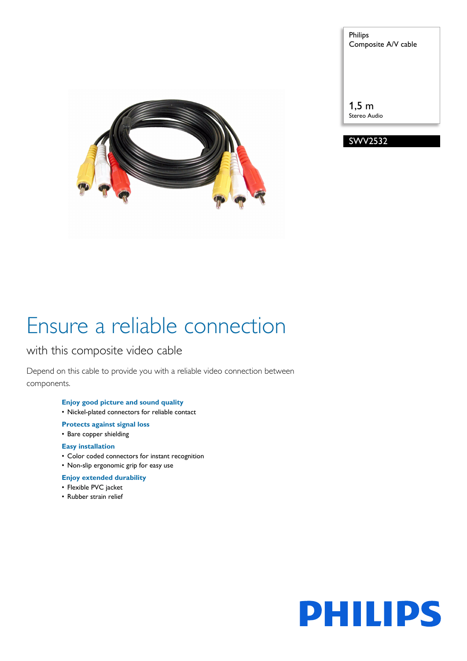

Philips Composite A/V cable

1,5 m Stereo Audio



# Ensure a reliable connection

## with this composite video cable

Depend on this cable to provide you with a reliable video connection between components.

## **Enjoy good picture and sound quality**

- Nickel-plated connectors for reliable contact
- **Protects against signal loss**
- Bare copper shielding

## **Easy installation**

- Color coded connectors for instant recognition
- Non-slip ergonomic grip for easy use

## **Enjoy extended durability**

- Flexible PVC jacket
- Rubber strain relief